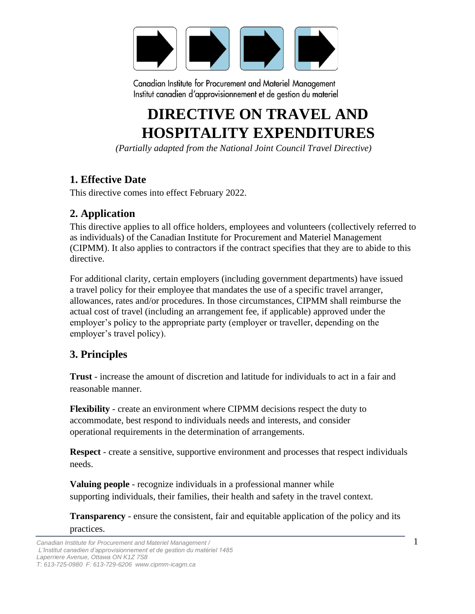

# **DIRECTIVE ON TRAVEL AND HOSPITALITY EXPENDITURES**

*(Partially adapted from the National Joint Council Travel Directive)*

# **1. Effective Date**

This directive comes into effect February 2022.

## **2. Application**

This directive applies to all office holders, employees and volunteers (collectively referred to as individuals) of the Canadian Institute for Procurement and Materiel Management (CIPMM). It also applies to contractors if the contract specifies that they are to abide to this directive.

For additional clarity, certain employers (including government departments) have issued a travel policy for their employee that mandates the use of a specific travel arranger, allowances, rates and/or procedures. In those circumstances, CIPMM shall reimburse the actual cost of travel (including an arrangement fee, if applicable) approved under the employer's policy to the appropriate party (employer or traveller, depending on the employer's travel policy).

# **3. Principles**

**Trust** - increase the amount of discretion and latitude for individuals to act in a fair and reasonable manner.

**Flexibility** - create an environment where CIPMM decisions respect the duty to accommodate, best respond to individuals needs and interests, and consider operational requirements in the determination of arrangements.

**Respect** - create a sensitive, supportive environment and processes that respect individuals needs.

**Valuing people** - recognize individuals in a professional manner while supporting individuals, their families, their health and safety in the travel context.

**Transparency** - ensure the consistent, fair and equitable application of the policy and its practices.

*Canadian Institute for Procurement and Materiel Management /* 1 *L'Institut canadien d'approvisionnement et de gestion du matériel 1485 Laperriere Avenue, Ottawa ON K1Z 7S8 T: 613-725-0980 F: 613-729-6206 www.cipmm-icagm.ca*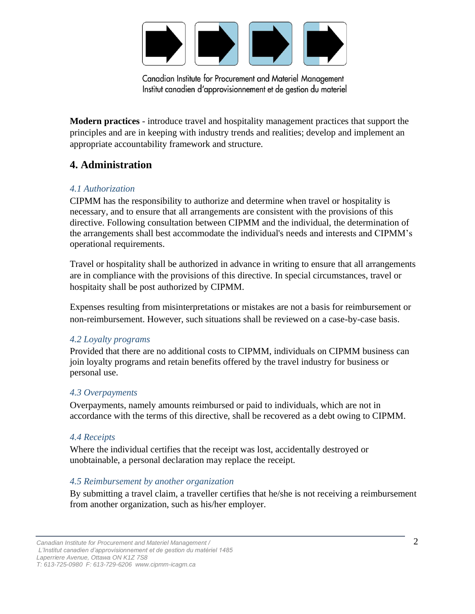

**Modern practices** - introduce travel and hospitality management practices that support the principles and are in keeping with industry trends and realities; develop and implement an appropriate accountability framework and structure.

# **4. Administration**

#### *4.1 Authorization*

CIPMM has the responsibility to authorize and determine when travel or hospitality is necessary, and to ensure that all arrangements are consistent with the provisions of this directive. Following consultation between CIPMM and the individual, the determination of the arrangements shall best accommodate the individual's needs and interests and CIPMM's operational requirements.

Travel or hospitality shall be authorized in advance in writing to ensure that all arrangements are in compliance with the provisions of this directive. In special circumstances, travel or hospitaity shall be post authorized by CIPMM.

Expenses resulting from misinterpretations or mistakes are not a basis for reimbursement or non-reimbursement. However, such situations shall be reviewed on a case-by-case basis.

### *4.2 Loyalty programs*

Provided that there are no additional costs to CIPMM, individuals on CIPMM business can join loyalty programs and retain benefits offered by the travel industry for business or personal use.

#### *4.3 Overpayments*

Overpayments, namely amounts reimbursed or paid to individuals, which are not in accordance with the terms of this directive, shall be recovered as a debt owing to CIPMM.

#### *4.4 Receipts*

Where the individual certifies that the receipt was lost, accidentally destroyed or unobtainable, a personal declaration may replace the receipt.

### *4.5 Reimbursement by another organization*

By submitting a travel claim, a traveller certifies that he/she is not receiving a reimbursement from another organization, such as his/her employer.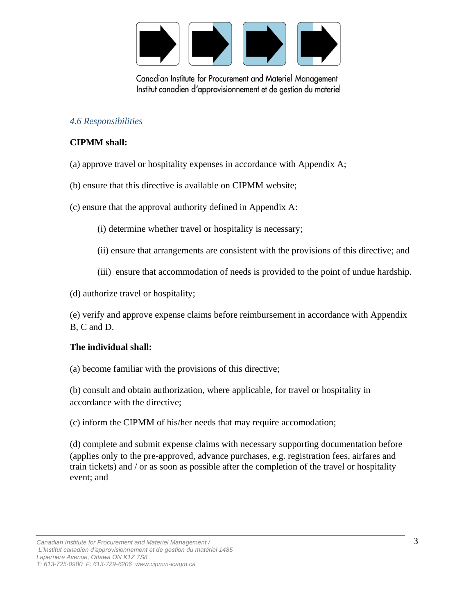

#### *4.6 Responsibilities*

#### **CIPMM shall:**

- (a) approve travel or hospitality expenses in accordance with Appendix A;
- (b) ensure that this directive is available on CIPMM website;
- (c) ensure that the approval authority defined in Appendix A:
	- (i) determine whether travel or hospitality is necessary;
	- (ii) ensure that arrangements are consistent with the provisions of this directive; and
	- (iii) ensure that accommodation of needs is provided to the point of undue hardship.
- (d) authorize travel or hospitality;

(e) verify and approve expense claims before reimbursement in accordance with Appendix B, C and D.

#### **The individual shall:**

(a) become familiar with the provisions of this directive;

(b) consult and obtain authorization, where applicable, for travel or hospitality in accordance with the directive;

(c) inform the CIPMM of his/her needs that may require accomodation;

(d) complete and submit expense claims with necessary supporting documentation before (applies only to the pre-approved, advance purchases, e.g. registration fees, airfares and train tickets) and / or as soon as possible after the completion of the travel or hospitality event; and

*Canadian Institute for Procurement and Materiel Management /* 3 *L'Institut canadien d'approvisionnement et de gestion du matériel 1485 Laperriere Avenue, Ottawa ON K1Z 7S8 T: 613-725-0980 F: 613-729-6206 www.cipmm-icagm.ca*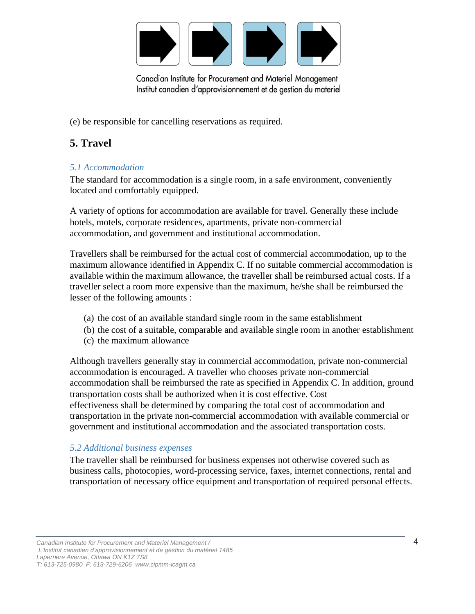

(e) be responsible for cancelling reservations as required.

# **5. Travel**

### *5.1 Accommodation*

The standard for accommodation is a single room, in a safe environment, conveniently located and comfortably equipped.

A variety of options for accommodation are available for travel. Generally these include hotels, motels, corporate residences, apartments, private non-commercial accommodation, and government and institutional accommodation.

Travellers shall be reimbursed for the actual cost of commercial accommodation, up to the maximum allowance identified in Appendix C. If no suitable commercial accommodation is available within the maximum allowance, the traveller shall be reimbursed actual costs. If a traveller select a room more expensive than the maximum, he/she shall be reimbursed the lesser of the following amounts :

- (a) the cost of an available standard single room in the same establishment
- (b) the cost of a suitable, comparable and available single room in another establishment
- (c) the maximum allowance

Although travellers generally stay in commercial accommodation, private non-commercial accommodation is encouraged. A traveller who chooses private non-commercial accommodation shall be reimbursed the rate as specified in Appendix C. In addition, ground transportation costs shall be authorized when it is cost effective. Cost effectiveness shall be determined by comparing the total cost of accommodation and transportation in the private non-commercial accommodation with available commercial or government and institutional accommodation and the associated transportation costs.

### *5.2 Additional business expenses*

The traveller shall be reimbursed for business expenses not otherwise covered such as business calls, photocopies, word-processing service, faxes, internet connections, rental and transportation of necessary office equipment and transportation of required personal effects.

*Canadian Institute for Procurement and Materiel Management /* 4 *L'Institut canadien d'approvisionnement et de gestion du matériel 1485 Laperriere Avenue, Ottawa ON K1Z 7S8 T: 613-725-0980 F: 613-729-6206 www.cipmm-icagm.ca*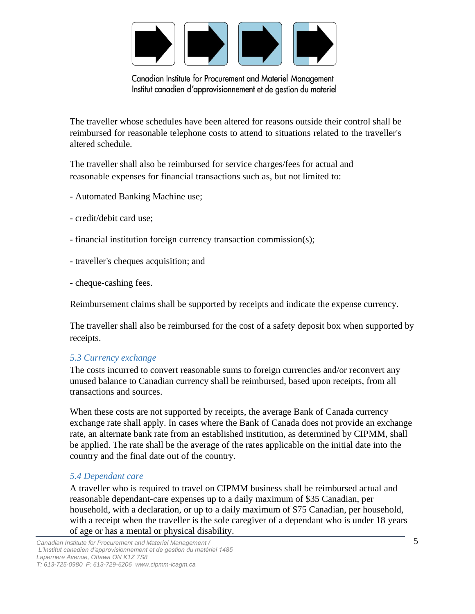

The traveller whose schedules have been altered for reasons outside their control shall be reimbursed for reasonable telephone costs to attend to situations related to the traveller's altered schedule.

The traveller shall also be reimbursed for service charges/fees for actual and reasonable expenses for financial transactions such as, but not limited to:

- Automated Banking Machine use;
- credit/debit card use;
- financial institution foreign currency transaction commission(s);
- traveller's cheques acquisition; and
- cheque-cashing fees.

Reimbursement claims shall be supported by receipts and indicate the expense currency.

The traveller shall also be reimbursed for the cost of a safety deposit box when supported by receipts.

### *5.3 Currency exchange*

The costs incurred to convert reasonable sums to foreign currencies and/or reconvert any unused balance to Canadian currency shall be reimbursed, based upon receipts, from all transactions and sources.

When these costs are not supported by receipts, the average Bank of Canada currency exchange rate shall apply. In cases where the Bank of Canada does not provide an exchange rate, an alternate bank rate from an established institution, as determined by CIPMM, shall be applied. The rate shall be the average of the rates applicable on the initial date into the country and the final date out of the country.

### *5.4 Dependant care*

A traveller who is required to travel on CIPMM business shall be reimbursed actual and reasonable dependant-care expenses up to a daily maximum of \$35 Canadian, per household, with a declaration, or up to a daily maximum of \$75 Canadian, per household, with a receipt when the traveller is the sole caregiver of a dependant who is under 18 years of age or has a mental or physical disability.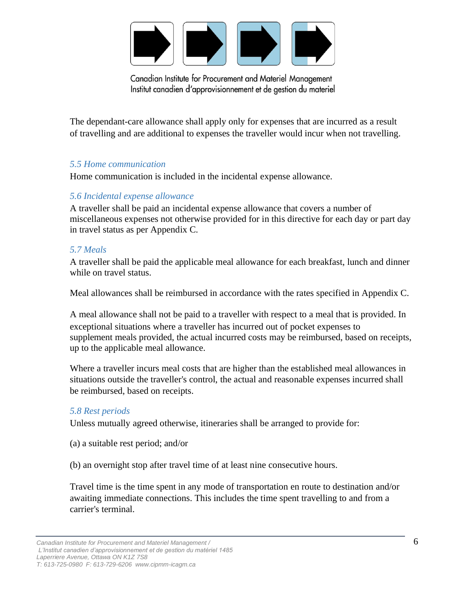

The dependant-care allowance shall apply only for expenses that are incurred as a result of travelling and are additional to expenses the traveller would incur when not travelling.

#### *5.5 Home communication*

Home communication is included in the incidental expense allowance.

#### *5.6 Incidental expense allowance*

A traveller shall be paid an incidental expense allowance that covers a number of miscellaneous expenses not otherwise provided for in this directive for each day or part day in travel status as per Appendix C.

#### *5.7 Meals*

A traveller shall be paid the applicable meal allowance for each breakfast, lunch and dinner while on travel status.

Meal allowances shall be reimbursed in accordance with the rates specified in Appendix C.

A meal allowance shall not be paid to a traveller with respect to a meal that is provided. In exceptional situations where a traveller has incurred out of pocket expenses to supplement meals provided, the actual incurred costs may be reimbursed, based on receipts, up to the applicable meal allowance.

Where a traveller incurs meal costs that are higher than the established meal allowances in situations outside the traveller's control, the actual and reasonable expenses incurred shall be reimbursed, based on receipts.

#### *5.8 Rest periods*

Unless mutually agreed otherwise, itineraries shall be arranged to provide for:

(a) a suitable rest period; and/or

(b) an overnight stop after travel time of at least nine consecutive hours.

Travel time is the time spent in any mode of transportation en route to destination and/or awaiting immediate connections. This includes the time spent travelling to and from a carrier's terminal.

*Canadian Institute for Procurement and Materiel Management /* 6 *L'Institut canadien d'approvisionnement et de gestion du matériel 1485 Laperriere Avenue, Ottawa ON K1Z 7S8*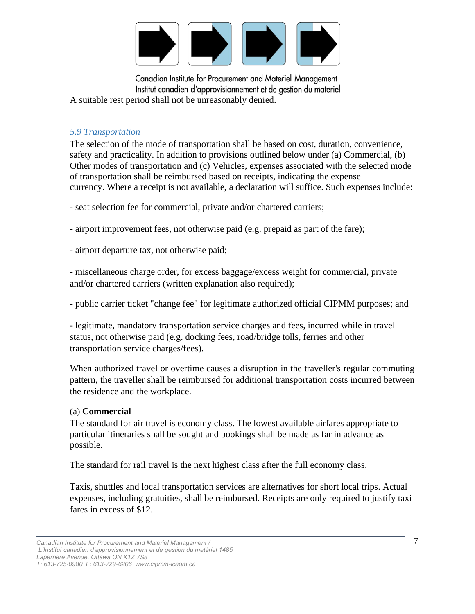

Canadian Institute for Procurement and Materiel Management Institut canadien d'approvisionnement et de gestion du materiel A suitable rest period shall not be unreasonably denied.

#### *5.9 Transportation*

The selection of the mode of transportation shall be based on cost, duration, convenience, safety and practicality. In addition to provisions outlined below under (a) Commercial, (b) Other modes of transportation and (c) Vehicles, expenses associated with the selected mode of transportation shall be reimbursed based on receipts, indicating the expense currency. Where a receipt is not available, a declaration will suffice. Such expenses include:

- seat selection fee for commercial, private and/or chartered carriers;

- airport improvement fees, not otherwise paid (e.g. prepaid as part of the fare);

- airport departure tax, not otherwise paid;

- miscellaneous charge order, for excess baggage/excess weight for commercial, private and/or chartered carriers (written explanation also required);

- public carrier ticket "change fee" for legitimate authorized official CIPMM purposes; and

- legitimate, mandatory transportation service charges and fees, incurred while in travel status, not otherwise paid (e.g. docking fees, road/bridge tolls, ferries and other transportation service charges/fees).

When authorized travel or overtime causes a disruption in the traveller's regular commuting pattern, the traveller shall be reimbursed for additional transportation costs incurred between the residence and the workplace.

#### (a) **Commercial**

The standard for air travel is economy class. The lowest available airfares appropriate to particular itineraries shall be sought and bookings shall be made as far in advance as possible.

The standard for rail travel is the next highest class after the full economy class.

Taxis, shuttles and local transportation services are alternatives for short local trips. Actual expenses, including gratuities, shall be reimbursed. Receipts are only required to justify taxi fares in excess of \$12.

*Canadian Institute for Procurement and Materiel Management /* 7 *L'Institut canadien d'approvisionnement et de gestion du matériel 1485 Laperriere Avenue, Ottawa ON K1Z 7S8 T: 613-725-0980 F: 613-729-6206 www.cipmm-icagm.ca*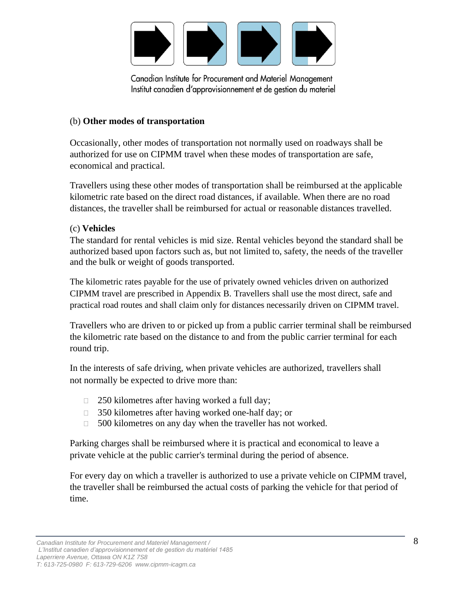

#### (b) **Other modes of transportation**

Occasionally, other modes of transportation not normally used on roadways shall be authorized for use on CIPMM travel when these modes of transportation are safe, economical and practical.

Travellers using these other modes of transportation shall be reimbursed at the applicable kilometric rate based on the direct road distances, if available. When there are no road distances, the traveller shall be reimbursed for actual or reasonable distances travelled.

#### (c) **Vehicles**

The standard for rental vehicles is mid size. Rental vehicles beyond the standard shall be authorized based upon factors such as, but not limited to, safety, the needs of the traveller and the bulk or weight of goods transported.

The kilometric rates payable for the use of privately owned vehicles driven on authorized CIPMM travel are prescribed in Appendix B. Travellers shall use the most direct, safe and practical road routes and shall claim only for distances necessarily driven on CIPMM travel.

Travellers who are driven to or picked up from a public carrier terminal shall be reimbursed the kilometric rate based on the distance to and from the public carrier terminal for each round trip.

In the interests of safe driving, when private vehicles are authorized, travellers shall not normally be expected to drive more than:

- $\Box$  250 kilometres after having worked a full day;
- $\Box$  350 kilometres after having worked one-half day; or
- $\Box$  500 kilometres on any day when the traveller has not worked.

Parking charges shall be reimbursed where it is practical and economical to leave a private vehicle at the public carrier's terminal during the period of absence.

For every day on which a traveller is authorized to use a private vehicle on CIPMM travel, the traveller shall be reimbursed the actual costs of parking the vehicle for that period of time.

*Canadian Institute for Procurement and Materiel Management /* 8

*L'Institut canadien d'approvisionnement et de gestion du matériel 1485 Laperriere Avenue, Ottawa ON K1Z 7S8*

*T: 613-725-0980 F: 613-729-6206 www.cipmm-icagm.ca*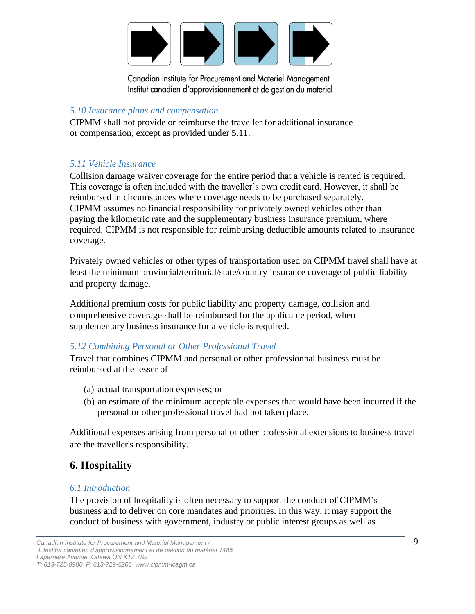

### *5.10 Insurance plans and compensation*

CIPMM shall not provide or reimburse the traveller for additional insurance or compensation, except as provided under 5.11.

### *5.11 Vehicle Insurance*

Collision damage waiver coverage for the entire period that a vehicle is rented is required. This coverage is often included with the traveller's own credit card. However, it shall be reimbursed in circumstances where coverage needs to be purchased separately. CIPMM assumes no financial responsibility for privately owned vehicles other than paying the kilometric rate and the supplementary business insurance premium, where required. CIPMM is not responsible for reimbursing deductible amounts related to insurance coverage.

Privately owned vehicles or other types of transportation used on CIPMM travel shall have at least the minimum provincial/territorial/state/country insurance coverage of public liability and property damage.

Additional premium costs for public liability and property damage, collision and comprehensive coverage shall be reimbursed for the applicable period, when supplementary business insurance for a vehicle is required.

### *5.12 Combining Personal or Other Professional Travel*

Travel that combines CIPMM and personal or other professionnal business must be reimbursed at the lesser of

- (a) actual transportation expenses; or
- (b) an estimate of the minimum acceptable expenses that would have been incurred if the personal or other professional travel had not taken place.

Additional expenses arising from personal or other professional extensions to business travel are the traveller's responsibility.

# **6. Hospitality**

#### *6.1 Introduction*

The provision of hospitality is often necessary to support the conduct of CIPMM's business and to deliver on core mandates and priorities. In this way, it may support the conduct of business with government, industry or public interest groups as well as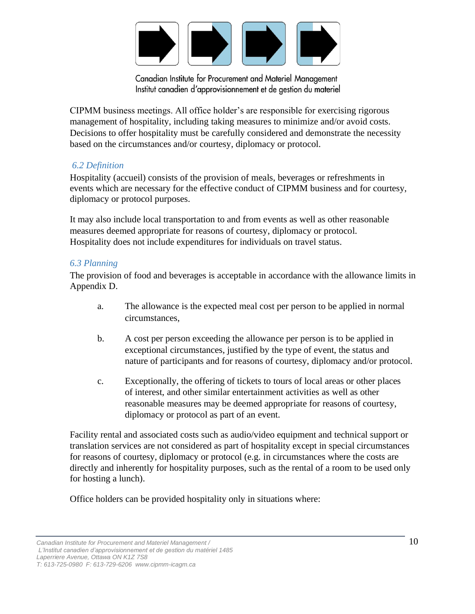

CIPMM business meetings. All office holder's are responsible for exercising rigorous management of hospitality, including taking measures to minimize and/or avoid costs. Decisions to offer hospitality must be carefully considered and demonstrate the necessity based on the circumstances and/or courtesy, diplomacy or protocol.

#### *6.2 Definition*

Hospitality (accueil) consists of the provision of meals, beverages or refreshments in events which are necessary for the effective conduct of CIPMM business and for courtesy, diplomacy or protocol purposes.

It may also include local transportation to and from events as well as other reasonable measures deemed appropriate for reasons of courtesy, diplomacy or protocol. Hospitality does not include expenditures for individuals on travel status.

#### *6.3 Planning*

The provision of food and beverages is acceptable in accordance with the allowance limits in Appendix D.

- a. The allowance is the expected meal cost per person to be applied in normal circumstances,
- b. A cost per person exceeding the allowance per person is to be applied in exceptional circumstances, justified by the type of event, the status and nature of participants and for reasons of courtesy, diplomacy and/or protocol.
- c. Exceptionally, the offering of tickets to tours of local areas or other places of interest, and other similar entertainment activities as well as other reasonable measures may be deemed appropriate for reasons of courtesy, diplomacy or protocol as part of an event.

Facility rental and associated costs such as audio/video equipment and technical support or translation services are not considered as part of hospitality except in special circumstances for reasons of courtesy, diplomacy or protocol (e.g. in circumstances where the costs are directly and inherently for hospitality purposes, such as the rental of a room to be used only for hosting a lunch).

Office holders can be provided hospitality only in situations where:

*Canadian Institute for Procurement and Materiel Management /* 10 *L'Institut canadien d'approvisionnement et de gestion du matériel 1485 Laperriere Avenue, Ottawa ON K1Z 7S8*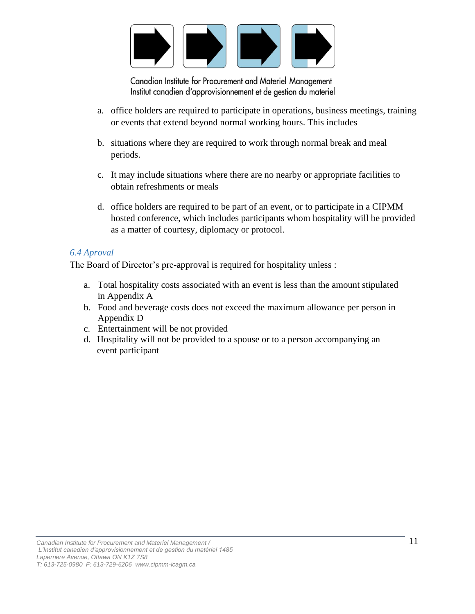

- a. office holders are required to participate in operations, business meetings, training or events that extend beyond normal working hours. This includes
- b. situations where they are required to work through normal break and meal periods.
- c. It may include situations where there are no nearby or appropriate facilities to obtain refreshments or meals
- d. office holders are required to be part of an event, or to participate in a CIPMM hosted conference, which includes participants whom hospitality will be provided as a matter of courtesy, diplomacy or protocol.

#### *6.4 Aproval*

The Board of Director's pre-approval is required for hospitality unless :

- a. Total hospitality costs associated with an event is less than the amount stipulated in Appendix A
- b. Food and beverage costs does not exceed the maximum allowance per person in Appendix D
- c. Entertainment will be not provided
- d. Hospitality will not be provided to a spouse or to a person accompanying an event participant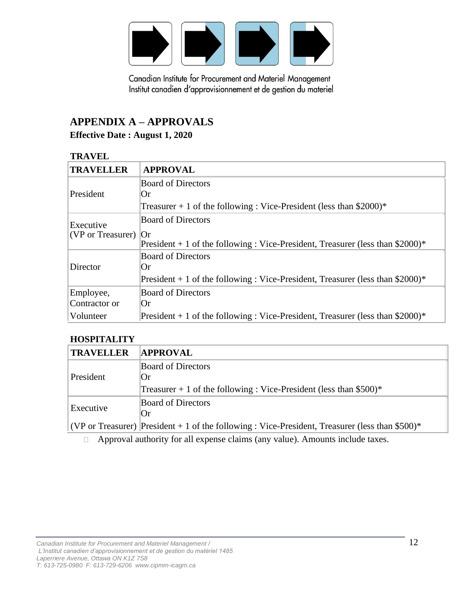

# **APPENDIX A – APPROVALS**

### **Effective Date : August 1, 2020**

#### **TRAVEL**

| <b>TRAVELLER</b>                         | <b>APPROVAL</b>                                                                  |
|------------------------------------------|----------------------------------------------------------------------------------|
| President                                | <b>Board of Directors</b>                                                        |
|                                          | Or                                                                               |
|                                          | Treasurer $+1$ of the following : Vice-President (less than \$2000)*             |
| Executive<br>$ $ (VP or Treasurer) $ Or$ | <b>Board of Directors</b>                                                        |
|                                          |                                                                                  |
|                                          | President $+ 1$ of the following : Vice-President, Treasurer (less than \$2000)* |
| Director                                 | <b>Board of Directors</b>                                                        |
|                                          | Or                                                                               |
|                                          | President $+1$ of the following : Vice-President, Treasurer (less than \$2000)*  |
| Employee,                                | <b>Board of Directors</b>                                                        |
| Contractor or                            | Or.                                                                              |
| Volunteer                                | President $+1$ of the following : Vice-President, Treasurer (less than \$2000)*  |

#### **HOSPITALITY**

| <b>TRAVELLER</b> | <b>APPROVAL</b>                                                                                  |
|------------------|--------------------------------------------------------------------------------------------------|
| President        | <b>Board of Directors</b>                                                                        |
|                  | $\mathbf{C}$                                                                                     |
|                  | Treasurer + 1 of the following : Vice-President (less than $$500$ )*                             |
| Executive        | <b>Board of Directors</b>                                                                        |
|                  | $\overline{\text{Or}}$                                                                           |
|                  | (VP or Treasurer) President $+1$ of the following : Vice-President, Treasurer (less than \$500)* |

Approval authority for all expense claims (any value). Amounts include taxes.